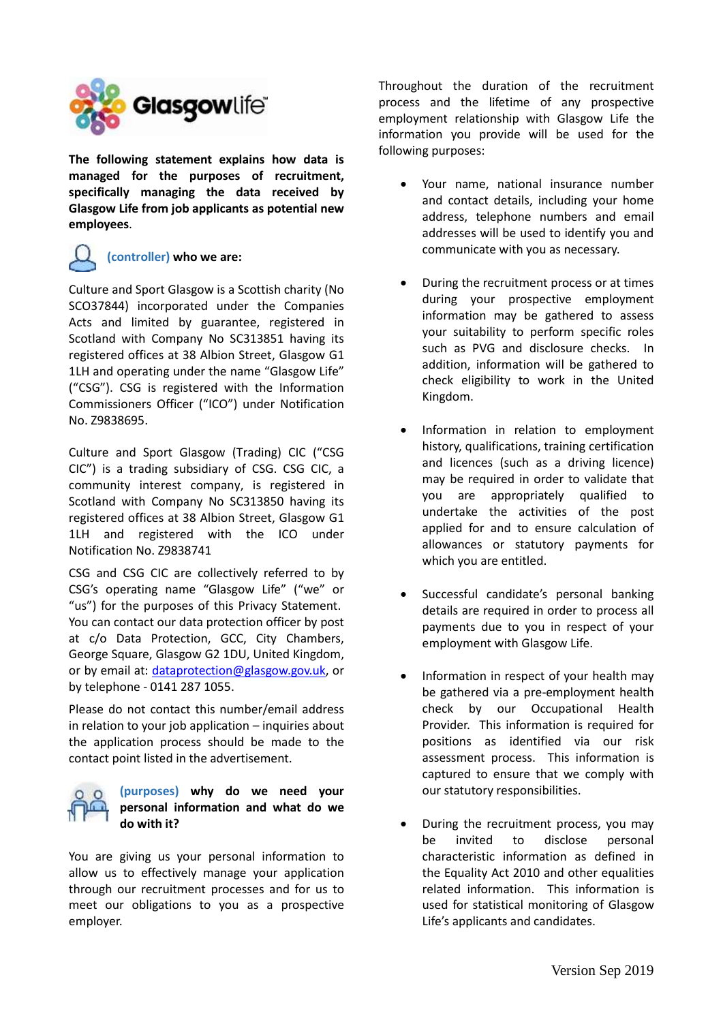

**The following statement explains how data is managed for the purposes of recruitment, specifically managing the data received by Glasgow Life from job applicants as potential new employees**.

# **(controller) who we are:**

Culture and Sport Glasgow is a Scottish charity (No SCO37844) incorporated under the Companies Acts and limited by guarantee, registered in Scotland with Company No SC313851 having its registered offices at 38 Albion Street, Glasgow G1 1LH and operating under the name "Glasgow Life" ("CSG"). CSG is registered with the Information Commissioners Officer ("ICO") under Notification No. Z9838695.

Culture and Sport Glasgow (Trading) CIC ("CSG CIC") is a trading subsidiary of CSG. CSG CIC, a community interest company, is registered in Scotland with Company No SC313850 having its registered offices at 38 Albion Street, Glasgow G1 1LH and registered with the ICO under Notification No. Z9838741

CSG and CSG CIC are collectively referred to by CSG's operating name "Glasgow Life" ("we" or "us") for the purposes of this Privacy Statement. You can contact our data protection officer by post at c/o Data Protection, GCC, City Chambers, George Square, Glasgow G2 1DU, United Kingdom, or by email at: [dataprotection@glasgow.gov.uk,](mailto:dataprotection@glasgow.gov.uk) or by telephone - 0141 287 1055.

Please do not contact this number/email address in relation to your job application – inquiries about the application process should be made to the contact point listed in the advertisement.



You are giving us your personal information to allow us to effectively manage your application through our recruitment processes and for us to meet our obligations to you as a prospective employer.

Throughout the duration of the recruitment process and the lifetime of any prospective employment relationship with Glasgow Life the information you provide will be used for the following purposes:

- Your name, national insurance number and contact details, including your home address, telephone numbers and email addresses will be used to identify you and communicate with you as necessary.
- During the recruitment process or at times during your prospective employment information may be gathered to assess your suitability to perform specific roles such as PVG and disclosure checks. In addition, information will be gathered to check eligibility to work in the United Kingdom.
- Information in relation to employment history, qualifications, training certification and licences (such as a driving licence) may be required in order to validate that you are appropriately qualified to undertake the activities of the post applied for and to ensure calculation of allowances or statutory payments for which you are entitled.
- Successful candidate's personal banking details are required in order to process all payments due to you in respect of your employment with Glasgow Life.
- Information in respect of your health may be gathered via a pre-employment health check by our Occupational Health Provider. This information is required for positions as identified via our risk assessment process. This information is captured to ensure that we comply with our statutory responsibilities.
- During the recruitment process, you may be invited to disclose personal characteristic information as defined in the Equality Act 2010 and other equalities related information. This information is used for statistical monitoring of Glasgow Life's applicants and candidates.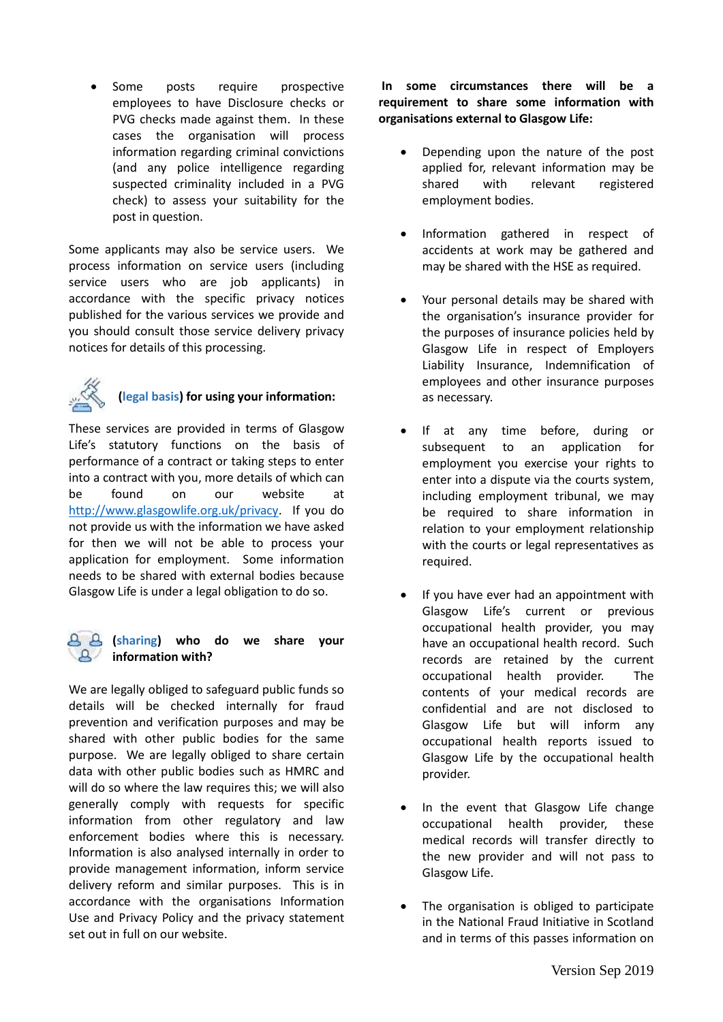Some posts require prospective employees to have Disclosure checks or PVG checks made against them. In these cases the organisation will process information regarding criminal convictions (and any police intelligence regarding suspected criminality included in a PVG check) to assess your suitability for the post in question.

Some applicants may also be service users. We process information on service users (including service users who are job applicants) in accordance with the specific privacy notices published for the various services we provide and you should consult those service delivery privacy notices for details of this processing.



# **(legal basis) for using your information:**

These services are provided in terms of Glasgow Life's statutory functions on the basis of performance of a contract or taking steps to enter into a contract with you, more details of which can be found on our website at [http://www.glasgowlife.org.uk/privacy.](http://www.glasgowlife.org.uk/privacy) If you do not provide us with the information we have asked for then we will not be able to process your application for employment. Some information needs to be shared with external bodies because Glasgow Life is under a legal obligation to do so.

### **(sharing) who do we share your information with?**

We are legally obliged to safeguard public funds so details will be checked internally for fraud prevention and verification purposes and may be shared with other public bodies for the same purpose. We are legally obliged to share certain data with other public bodies such as HMRC and will do so where the law requires this; we will also generally comply with requests for specific information from other regulatory and law enforcement bodies where this is necessary. Information is also analysed internally in order to provide management information, inform service delivery reform and similar purposes. This is in accordance with the organisations Information Use and Privacy Policy and the privacy statement set out in full on our website.

**In some circumstances there will be a requirement to share some information with organisations external to Glasgow Life:** 

- Depending upon the nature of the post applied for, relevant information may be shared with relevant registered employment bodies.
- Information gathered in respect of accidents at work may be gathered and may be shared with the HSE as required.
- Your personal details may be shared with the organisation's insurance provider for the purposes of insurance policies held by Glasgow Life in respect of Employers Liability Insurance, Indemnification of employees and other insurance purposes as necessary.
- If at any time before, during or subsequent to an application for employment you exercise your rights to enter into a dispute via the courts system, including employment tribunal, we may be required to share information in relation to your employment relationship with the courts or legal representatives as required.
- If you have ever had an appointment with Glasgow Life's current or previous occupational health provider, you may have an occupational health record. Such records are retained by the current occupational health provider. The contents of your medical records are confidential and are not disclosed to Glasgow Life but will inform any occupational health reports issued to Glasgow Life by the occupational health provider.
- In the event that Glasgow Life change occupational health provider, these medical records will transfer directly to the new provider and will not pass to Glasgow Life.
- The organisation is obliged to participate in the National Fraud Initiative in Scotland and in terms of this passes information on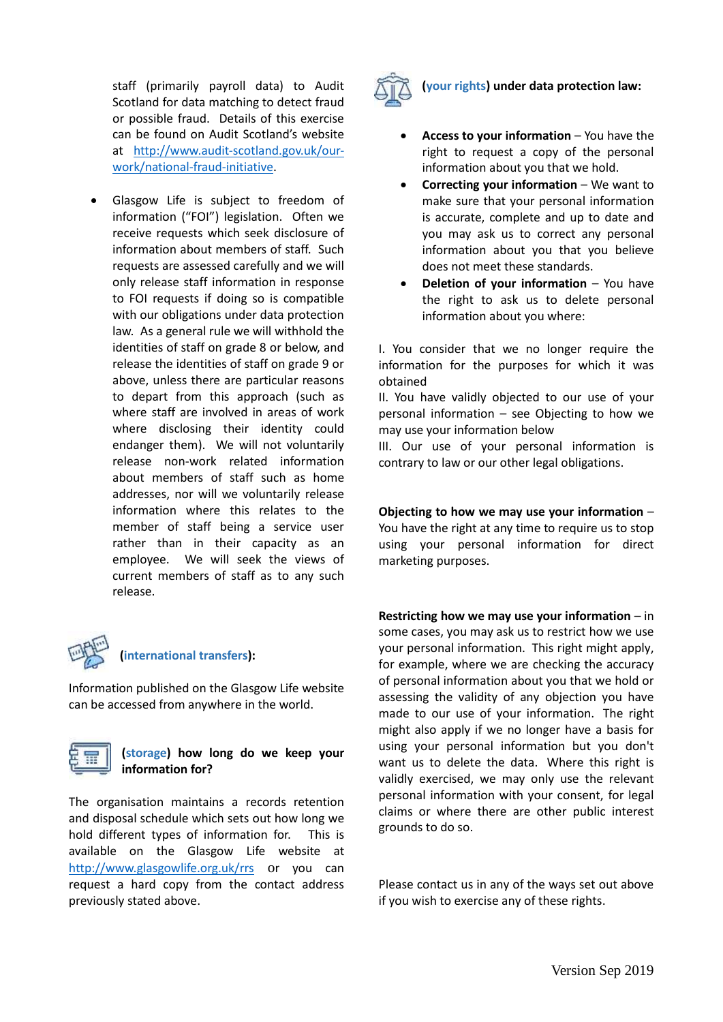staff (primarily payroll data) to Audit Scotland for data matching to detect fraud or possible fraud. Details of this exercise can be found on Audit Scotland's website at [http://www.audit-scotland.gov.uk/our](http://www.audit-scotland.gov.uk/our-work/national-fraud-initiative)[work/national-fraud-initiative.](http://www.audit-scotland.gov.uk/our-work/national-fraud-initiative)

• Glasgow Life is subject to freedom of information ("FOI") legislation. Often we receive requests which seek disclosure of information about members of staff. Such requests are assessed carefully and we will only release staff information in response to FOI requests if doing so is compatible with our obligations under data protection law. As a general rule we will withhold the identities of staff on grade 8 or below, and release the identities of staff on grade 9 or above, unless there are particular reasons to depart from this approach (such as where staff are involved in areas of work where disclosing their identity could endanger them). We will not voluntarily release non-work related information about members of staff such as home addresses, nor will we voluntarily release information where this relates to the member of staff being a service user rather than in their capacity as an employee. We will seek the views of current members of staff as to any such release.



## **(international transfers):**

Information published on the Glasgow Life website can be accessed from anywhere in the world.



#### **(storage) how long do we keep your information for?**

The organisation maintains a records retention and disposal schedule which sets out how long we hold different types of information for. This is available on the Glasgow Life website at <http://www.glasgowlife.org.uk/rrs> or you can request a hard copy from the contact address previously stated above.



### **(your rights) under data protection law:**

- **Access to your information** You have the right to request a copy of the personal information about you that we hold.
- **Correcting your information** We want to make sure that your personal information is accurate, complete and up to date and you may ask us to correct any personal information about you that you believe does not meet these standards.
- **Deletion of your information** You have the right to ask us to delete personal information about you where:

I. You consider that we no longer require the information for the purposes for which it was obtained

II. You have validly objected to our use of your personal information – see Objecting to how we may use your information below

III. Our use of your personal information is contrary to law or our other legal obligations.

**Objecting to how we may use your information** – You have the right at any time to require us to stop using your personal information for direct marketing purposes.

**Restricting how we may use your information** – in some cases, you may ask us to restrict how we use your personal information. This right might apply, for example, where we are checking the accuracy of personal information about you that we hold or assessing the validity of any objection you have made to our use of your information. The right might also apply if we no longer have a basis for using your personal information but you don't want us to delete the data. Where this right is validly exercised, we may only use the relevant personal information with your consent, for legal claims or where there are other public interest grounds to do so.

Please contact us in any of the ways set out above if you wish to exercise any of these rights.